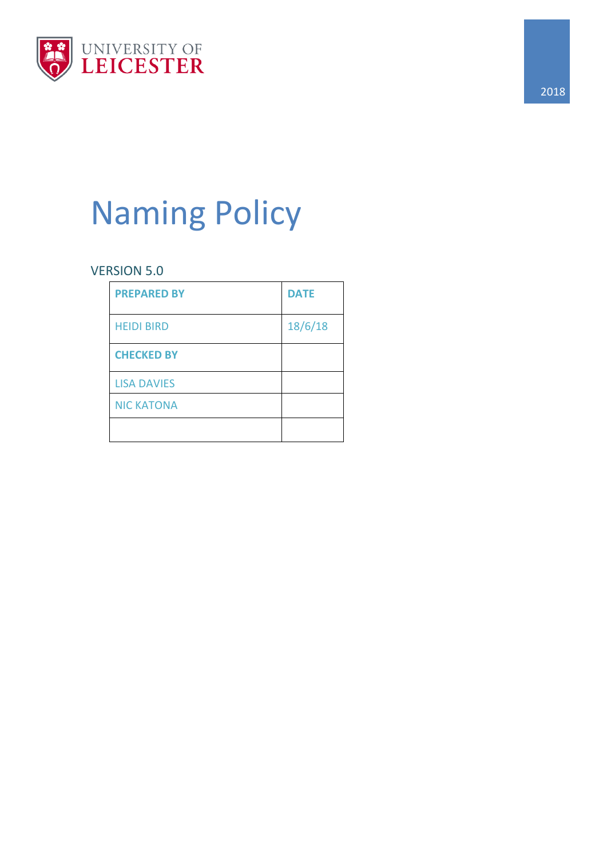

# Naming Policy

# VERSION 5.0

| <b>PREPARED BY</b> | <b>DATE</b> |
|--------------------|-------------|
| <b>HEIDI BIRD</b>  | 18/6/18     |
| <b>CHECKED BY</b>  |             |
| <b>LISA DAVIES</b> |             |
| <b>NIC KATONA</b>  |             |
|                    |             |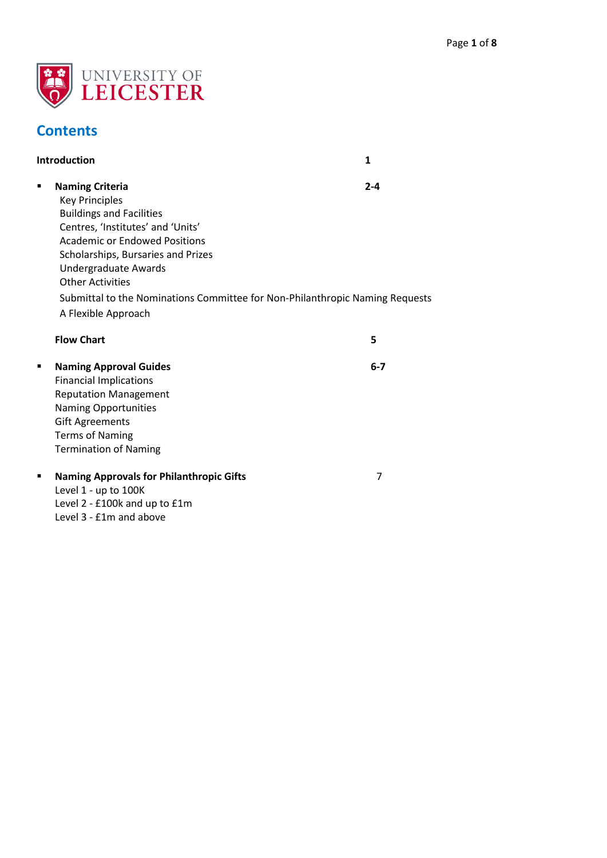

# **Contents**

|   | <b>Introduction</b>                                                                                                                                                                                                                                                                                                                                             | $\mathbf{1}$ |
|---|-----------------------------------------------------------------------------------------------------------------------------------------------------------------------------------------------------------------------------------------------------------------------------------------------------------------------------------------------------------------|--------------|
| ٠ | <b>Naming Criteria</b><br><b>Key Principles</b><br><b>Buildings and Facilities</b><br>Centres, 'Institutes' and 'Units'<br><b>Academic or Endowed Positions</b><br>Scholarships, Bursaries and Prizes<br>Undergraduate Awards<br><b>Other Activities</b><br>Submittal to the Nominations Committee for Non-Philanthropic Naming Requests<br>A Flexible Approach | $2 - 4$      |
|   | <b>Flow Chart</b>                                                                                                                                                                                                                                                                                                                                               | 5            |
| ٠ | <b>Naming Approval Guides</b><br><b>Financial Implications</b><br><b>Reputation Management</b><br><b>Naming Opportunities</b><br><b>Gift Agreements</b><br><b>Terms of Naming</b><br><b>Termination of Naming</b>                                                                                                                                               | $6 - 7$      |
| ٠ | <b>Naming Approvals for Philanthropic Gifts</b><br>Level 1 - up to 100K<br>Level 2 - £100k and up to £1m<br>Level 3 - £1m and above                                                                                                                                                                                                                             | 7            |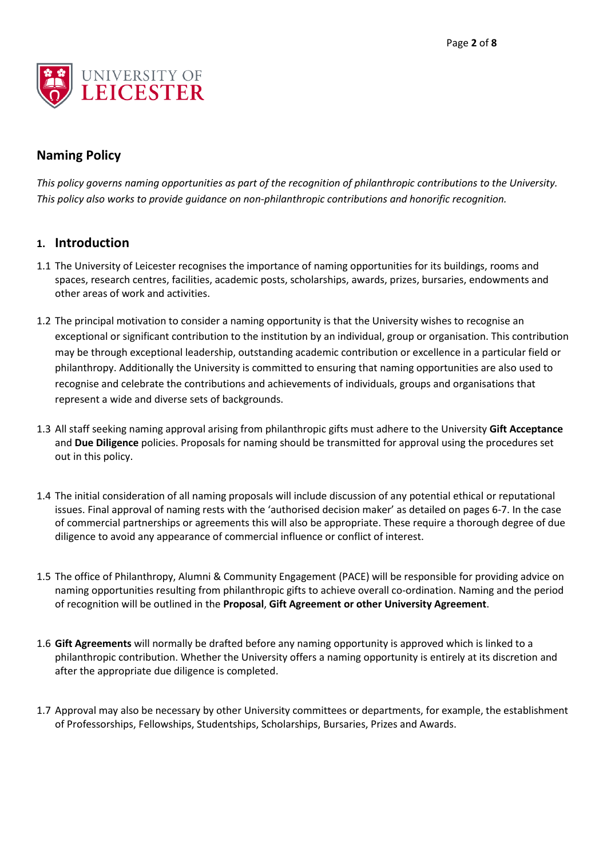

# **Naming Policy**

*This policy governs naming opportunities as part of the recognition of philanthropic contributions to the University. This policy also works to provide guidance on non-philanthropic contributions and honorific recognition.* 

# **1. Introduction**

- 1.1 The University of Leicester recognises the importance of naming opportunities for its buildings, rooms and spaces, research centres, facilities, academic posts, scholarships, awards, prizes, bursaries, endowments and other areas of work and activities.
- 1.2 The principal motivation to consider a naming opportunity is that the University wishes to recognise an exceptional or significant contribution to the institution by an individual, group or organisation. This contribution may be through exceptional leadership, outstanding academic contribution or excellence in a particular field or philanthropy. Additionally the University is committed to ensuring that naming opportunities are also used to recognise and celebrate the contributions and achievements of individuals, groups and organisations that represent a wide and diverse sets of backgrounds.
- 1.3 All staff seeking naming approval arising from philanthropic gifts must adhere to the University **Gift Acceptance** and **Due Diligence** policies. Proposals for naming should be transmitted for approval using the procedures set out in this policy.
- 1.4 The initial consideration of all naming proposals will include discussion of any potential ethical or reputational issues. Final approval of naming rests with the 'authorised decision maker' as detailed on pages 6-7. In the case of commercial partnerships or agreements this will also be appropriate. These require a thorough degree of due diligence to avoid any appearance of commercial influence or conflict of interest.
- 1.5 The office of Philanthropy, Alumni & Community Engagement (PACE) will be responsible for providing advice on naming opportunities resulting from philanthropic gifts to achieve overall co-ordination. Naming and the period of recognition will be outlined in the **Proposal**, **Gift Agreement or other University Agreement**.
- 1.6 **Gift Agreements** will normally be drafted before any naming opportunity is approved which is linked to a philanthropic contribution. Whether the University offers a naming opportunity is entirely at its discretion and after the appropriate due diligence is completed.
- 1.7 Approval may also be necessary by other University committees or departments, for example, the establishment of Professorships, Fellowships, Studentships, Scholarships, Bursaries, Prizes and Awards.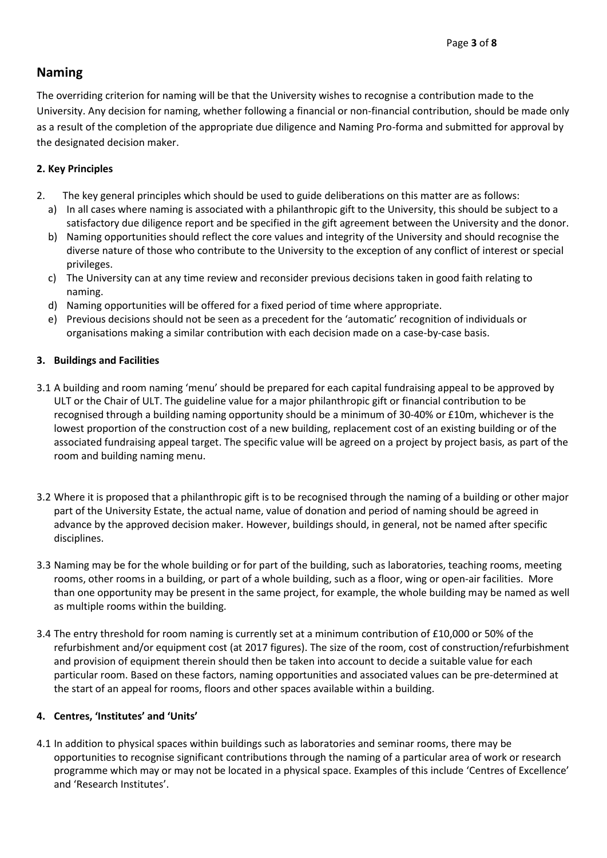# **Naming**

The overriding criterion for naming will be that the University wishes to recognise a contribution made to the University. Any decision for naming, whether following a financial or non-financial contribution, should be made only as a result of the completion of the appropriate due diligence and Naming Pro-forma and submitted for approval by the designated decision maker.

# **2. Key Principles**

- 2. The key general principles which should be used to guide deliberations on this matter are as follows:
	- a) In all cases where naming is associated with a philanthropic gift to the University, this should be subject to a satisfactory due diligence report and be specified in the gift agreement between the University and the donor.
	- b) Naming opportunities should reflect the core values and integrity of the University and should recognise the diverse nature of those who contribute to the University to the exception of any conflict of interest or special privileges.
	- c) The University can at any time review and reconsider previous decisions taken in good faith relating to naming.
	- d) Naming opportunities will be offered for a fixed period of time where appropriate.
	- e) Previous decisions should not be seen as a precedent for the 'automatic' recognition of individuals or organisations making a similar contribution with each decision made on a case-by-case basis.

# **3. Buildings and Facilities**

- 3.1 A building and room naming 'menu' should be prepared for each capital fundraising appeal to be approved by ULT or the Chair of ULT. The guideline value for a major philanthropic gift or financial contribution to be recognised through a building naming opportunity should be a minimum of 30-40% or £10m, whichever is the lowest proportion of the construction cost of a new building, replacement cost of an existing building or of the associated fundraising appeal target. The specific value will be agreed on a project by project basis, as part of the room and building naming menu.
- 3.2 Where it is proposed that a philanthropic gift is to be recognised through the naming of a building or other major part of the University Estate, the actual name, value of donation and period of naming should be agreed in advance by the approved decision maker. However, buildings should, in general, not be named after specific disciplines.
- 3.3 Naming may be for the whole building or for part of the building, such as laboratories, teaching rooms, meeting rooms, other rooms in a building, or part of a whole building, such as a floor, wing or open-air facilities. More than one opportunity may be present in the same project, for example, the whole building may be named as well as multiple rooms within the building.
- 3.4 The entry threshold for room naming is currently set at a minimum contribution of £10,000 or 50% of the refurbishment and/or equipment cost (at 2017 figures). The size of the room, cost of construction/refurbishment and provision of equipment therein should then be taken into account to decide a suitable value for each particular room. Based on these factors, naming opportunities and associated values can be pre-determined at the start of an appeal for rooms, floors and other spaces available within a building.

# **4. Centres, 'Institutes' and 'Units'**

4.1 In addition to physical spaces within buildings such as laboratories and seminar rooms, there may be opportunities to recognise significant contributions through the naming of a particular area of work or research programme which may or may not be located in a physical space. Examples of this include 'Centres of Excellence' and 'Research Institutes'.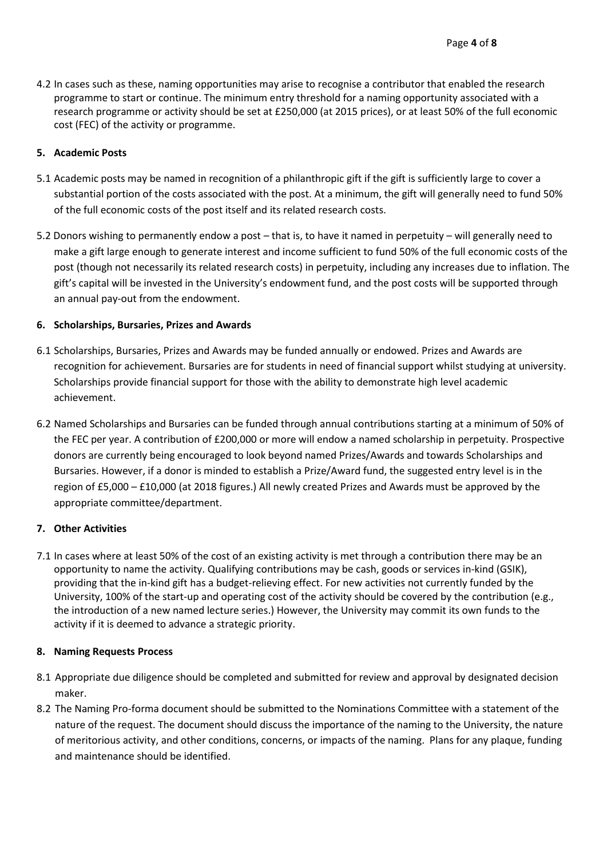4.2 In cases such as these, naming opportunities may arise to recognise a contributor that enabled the research programme to start or continue. The minimum entry threshold for a naming opportunity associated with a research programme or activity should be set at £250,000 (at 2015 prices), or at least 50% of the full economic cost (FEC) of the activity or programme.

#### **5. Academic Posts**

- 5.1 Academic posts may be named in recognition of a philanthropic gift if the gift is sufficiently large to cover a substantial portion of the costs associated with the post. At a minimum, the gift will generally need to fund 50% of the full economic costs of the post itself and its related research costs.
- 5.2 Donors wishing to permanently endow a post that is, to have it named in perpetuity will generally need to make a gift large enough to generate interest and income sufficient to fund 50% of the full economic costs of the post (though not necessarily its related research costs) in perpetuity, including any increases due to inflation. The gift's capital will be invested in the University's endowment fund, and the post costs will be supported through an annual pay-out from the endowment.

#### **6. Scholarships, Bursaries, Prizes and Awards**

- 6.1 Scholarships, Bursaries, Prizes and Awards may be funded annually or endowed. Prizes and Awards are recognition for achievement. Bursaries are for students in need of financial support whilst studying at university. Scholarships provide financial support for those with the ability to demonstrate high level academic achievement.
- 6.2 Named Scholarships and Bursaries can be funded through annual contributions starting at a minimum of 50% of the FEC per year. A contribution of £200,000 or more will endow a named scholarship in perpetuity. Prospective donors are currently being encouraged to look beyond named Prizes/Awards and towards Scholarships and Bursaries. However, if a donor is minded to establish a Prize/Award fund, the suggested entry level is in the region of £5,000 – £10,000 (at 2018 figures.) All newly created Prizes and Awards must be approved by the appropriate committee/department.

#### **7. Other Activities**

7.1 In cases where at least 50% of the cost of an existing activity is met through a contribution there may be an opportunity to name the activity. Qualifying contributions may be cash, goods or services in-kind (GSIK), providing that the in-kind gift has a budget-relieving effect. For new activities not currently funded by the University, 100% of the start-up and operating cost of the activity should be covered by the contribution (e.g., the introduction of a new named lecture series.) However, the University may commit its own funds to the activity if it is deemed to advance a strategic priority.

#### **8. Naming Requests Process**

- 8.1 Appropriate due diligence should be completed and submitted for review and approval by designated decision maker.
- 8.2 The Naming Pro-forma document should be submitted to the Nominations Committee with a statement of the nature of the request. The document should discuss the importance of the naming to the University, the nature of meritorious activity, and other conditions, concerns, or impacts of the naming. Plans for any plaque, funding and maintenance should be identified.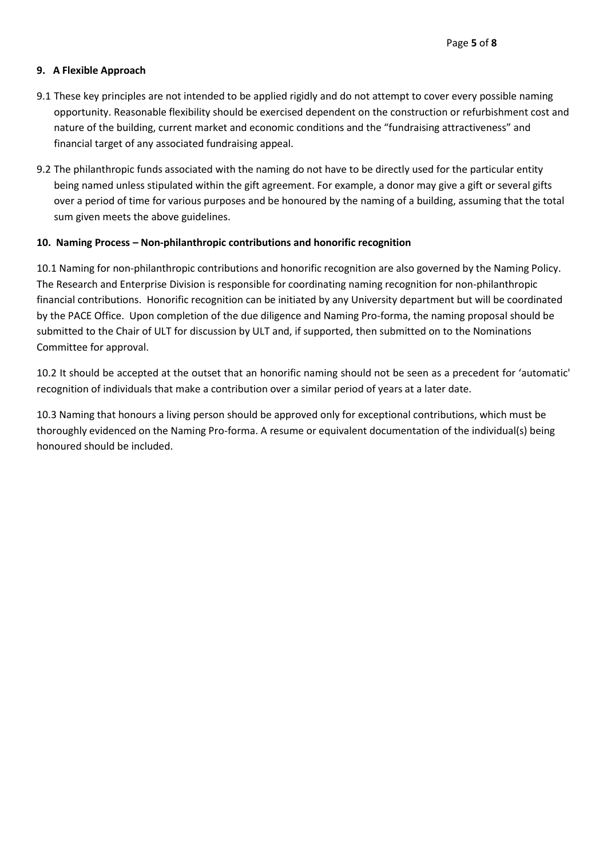#### **9. A Flexible Approach**

- 9.1 These key principles are not intended to be applied rigidly and do not attempt to cover every possible naming opportunity. Reasonable flexibility should be exercised dependent on the construction or refurbishment cost and nature of the building, current market and economic conditions and the "fundraising attractiveness" and financial target of any associated fundraising appeal.
- 9.2 The philanthropic funds associated with the naming do not have to be directly used for the particular entity being named unless stipulated within the gift agreement. For example, a donor may give a gift or several gifts over a period of time for various purposes and be honoured by the naming of a building, assuming that the total sum given meets the above guidelines.

#### **10. Naming Process – Non-philanthropic contributions and honorific recognition**

10.1 Naming for non-philanthropic contributions and honorific recognition are also governed by the Naming Policy. The Research and Enterprise Division is responsible for coordinating naming recognition for non-philanthropic financial contributions. Honorific recognition can be initiated by any University department but will be coordinated by the PACE Office. Upon completion of the due diligence and Naming Pro-forma, the naming proposal should be submitted to the Chair of ULT for discussion by ULT and, if supported, then submitted on to the Nominations Committee for approval.

10.2 It should be accepted at the outset that an honorific naming should not be seen as a precedent for 'automatic' recognition of individuals that make a contribution over a similar period of years at a later date.

10.3 Naming that honours a living person should be approved only for exceptional contributions, which must be thoroughly evidenced on the Naming Pro-forma. A resume or equivalent documentation of the individual(s) being honoured should be included.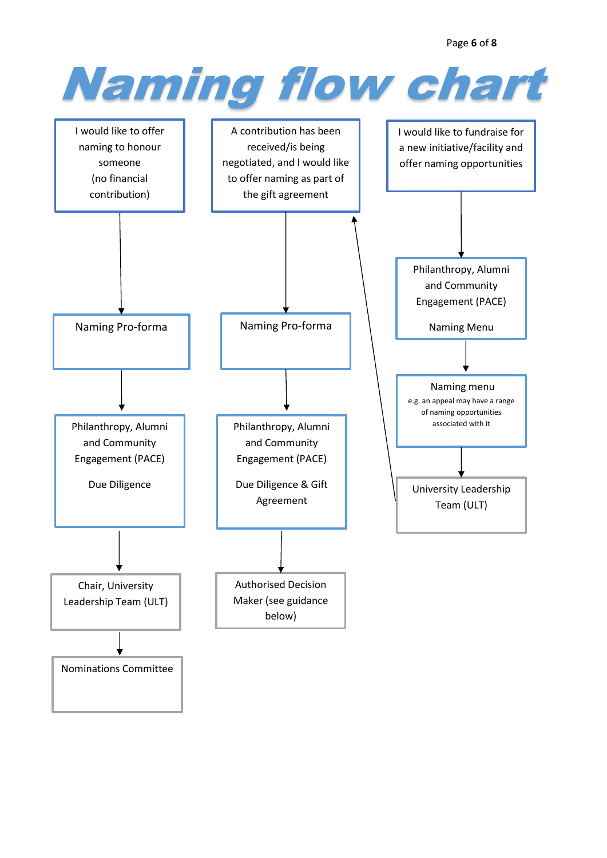Page **6** of **8**

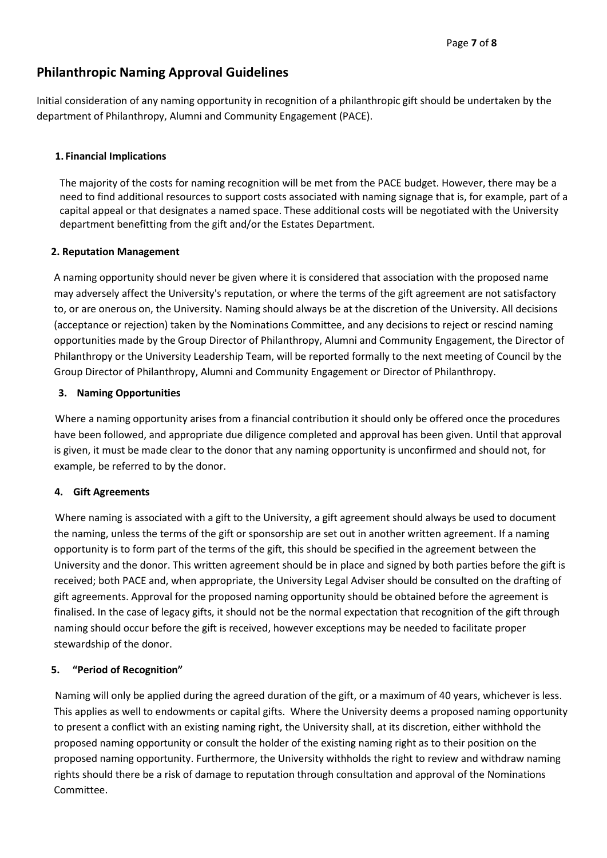# **Philanthropic Naming Approval Guidelines**

Initial consideration of any naming opportunity in recognition of a philanthropic gift should be undertaken by the department of Philanthropy, Alumni and Community Engagement (PACE).

## **1. Financial Implications**

The majority of the costs for naming recognition will be met from the PACE budget. However, there may be a need to find additional resources to support costs associated with naming signage that is, for example, part of a capital appeal or that designates a named space. These additional costs will be negotiated with the University department benefitting from the gift and/or the Estates Department.

## **2. Reputation Management**

A naming opportunity should never be given where it is considered that association with the proposed name may adversely affect the University's reputation, or where the terms of the gift agreement are not satisfactory to, or are onerous on, the University. Naming should always be at the discretion of the University. All decisions (acceptance or rejection) taken by the Nominations Committee, and any decisions to reject or rescind naming opportunities made by the Group Director of Philanthropy, Alumni and Community Engagement, the Director of Philanthropy or the University Leadership Team, will be reported formally to the next meeting of Council by the Group Director of Philanthropy, Alumni and Community Engagement or Director of Philanthropy.

## **3. Naming Opportunities**

Where a naming opportunity arises from a financial contribution it should only be offered once the procedures have been followed, and appropriate due diligence completed and approval has been given. Until that approval is given, it must be made clear to the donor that any naming opportunity is unconfirmed and should not, for example, be referred to by the donor.

# **4. Gift Agreements**

Where naming is associated with a gift to the University, a gift agreement should always be used to document the naming, unless the terms of the gift or sponsorship are set out in another written agreement. If a naming opportunity is to form part of the terms of the gift, this should be specified in the agreement between the University and the donor. This written agreement should be in place and signed by both parties before the gift is received; both PACE and, when appropriate, the University Legal Adviser should be consulted on the drafting of gift agreements. Approval for the proposed naming opportunity should be obtained before the agreement is finalised. In the case of legacy gifts, it should not be the normal expectation that recognition of the gift through naming should occur before the gift is received, however exceptions may be needed to facilitate proper stewardship of the donor.

#### **5. "Period of Recognition"**

Naming will only be applied during the agreed duration of the gift, or a maximum of 40 years, whichever is less. This applies as well to endowments or capital gifts. Where the University deems a proposed naming opportunity to present a conflict with an existing naming right, the University shall, at its discretion, either withhold the proposed naming opportunity or consult the holder of the existing naming right as to their position on the proposed naming opportunity. Furthermore, the University withholds the right to review and withdraw naming rights should there be a risk of damage to reputation through consultation and approval of the Nominations Committee.